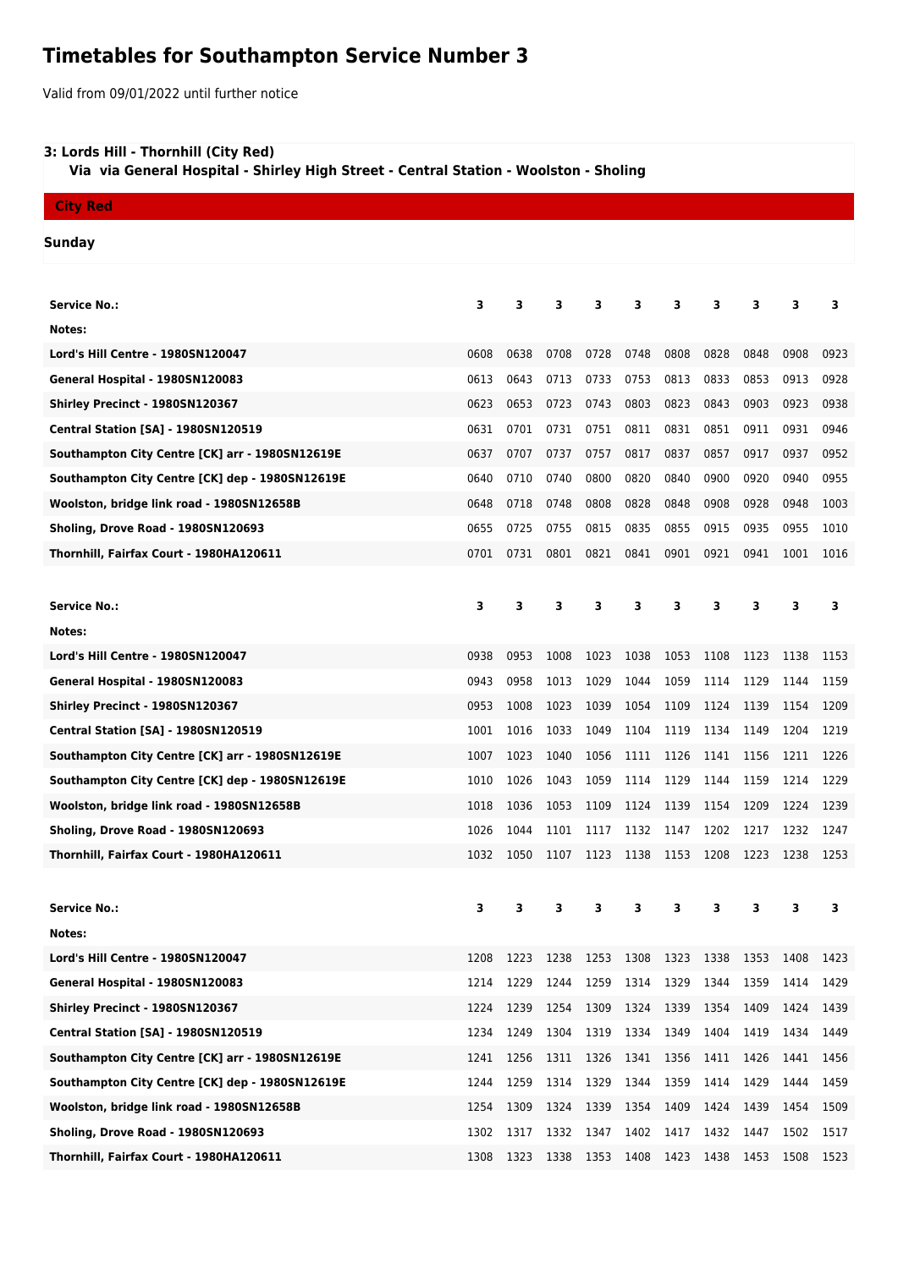# **Timetables for Southampton Service Number 3**

Valid from 09/01/2022 until further notice

## **3: Lords Hill - Thornhill (City Red)**

 **Via via General Hospital - Shirley High Street - Central Station - Woolston - Sholing**

## **City Red**

### **Sunday**

| <b>Service No.:</b>                             | 3    | 3    | 3    | 3    | з         | з    | з    | 3    | 3    | з    |
|-------------------------------------------------|------|------|------|------|-----------|------|------|------|------|------|
| Notes:                                          |      |      |      |      |           |      |      |      |      |      |
| Lord's Hill Centre - 1980SN120047               | 0608 | 0638 | 0708 | 0728 | 0748      | 0808 | 0828 | 0848 | 0908 | 0923 |
| General Hospital - 1980SN120083                 | 0613 | 0643 | 0713 | 0733 | 0753      | 0813 | 0833 | 0853 | 0913 | 0928 |
| Shirley Precinct - 1980SN120367                 | 0623 | 0653 | 0723 | 0743 | 0803      | 0823 | 0843 | 0903 | 0923 | 0938 |
| <b>Central Station [SA] - 1980SN120519</b>      | 0631 | 0701 | 0731 | 0751 | 0811      | 0831 | 0851 | 0911 | 0931 | 0946 |
| Southampton City Centre [CK] arr - 1980SN12619E | 0637 | 0707 | 0737 | 0757 | 0817      | 0837 | 0857 | 0917 | 0937 | 0952 |
| Southampton City Centre [CK] dep - 1980SN12619E | 0640 | 0710 | 0740 | 0800 | 0820      | 0840 | 0900 | 0920 | 0940 | 0955 |
| Woolston, bridge link road - 1980SN12658B       | 0648 | 0718 | 0748 | 0808 | 0828      | 0848 | 0908 | 0928 | 0948 | 1003 |
| Sholing, Drove Road - 1980SN120693              | 0655 | 0725 | 0755 | 0815 | 0835      | 0855 | 0915 | 0935 | 0955 | 1010 |
| Thornhill, Fairfax Court - 1980HA120611         | 0701 | 0731 | 0801 | 0821 | 0841      | 0901 | 0921 | 0941 | 1001 | 1016 |
|                                                 |      |      |      |      |           |      |      |      |      |      |
| <b>Service No.:</b>                             | 3    | 3    | 3    | 3    | 3         | 3    | 3    | 3    | 3    | 3    |
| Notes:                                          |      |      |      |      |           |      |      |      |      |      |
| Lord's Hill Centre - 1980SN120047               | 0938 | 0953 | 1008 | 1023 | 1038      | 1053 | 1108 | 1123 | 1138 | 1153 |
| General Hospital - 1980SN120083                 | 0943 | 0958 | 1013 | 1029 | 1044      | 1059 | 1114 | 1129 | 1144 | 1159 |
| Shirley Precinct - 1980SN120367                 | 0953 | 1008 | 1023 | 1039 | 1054      | 1109 | 1124 | 1139 | 1154 | 1209 |
| <b>Central Station [SA] - 1980SN120519</b>      | 1001 | 1016 | 1033 | 1049 | 1104      | 1119 | 1134 | 1149 | 1204 | 1219 |
| Southampton City Centre [CK] arr - 1980SN12619E | 1007 | 1023 | 1040 | 1056 | 1111      | 1126 | 1141 | 1156 | 1211 | 1226 |
| Southampton City Centre [CK] dep - 1980SN12619E | 1010 | 1026 | 1043 | 1059 | 1114      | 1129 | 1144 | 1159 | 1214 | 1229 |
| Woolston, bridge link road - 1980SN12658B       | 1018 | 1036 | 1053 | 1109 | 1124      | 1139 | 1154 | 1209 | 1224 | 1239 |
| Sholing, Drove Road - 1980SN120693              | 1026 | 1044 | 1101 | 1117 | 1132      | 1147 | 1202 | 1217 | 1232 | 1247 |
| Thornhill, Fairfax Court - 1980HA120611         | 1032 | 1050 | 1107 | 1123 | 1138      | 1153 | 1208 | 1223 | 1238 | 1253 |
|                                                 |      |      |      |      |           |      |      |      |      |      |
| <b>Service No.:</b>                             | з    | з    | 3    | 3    | 3         | з    | з    | 3    | 3    | з    |
| Notes:                                          |      |      |      |      |           |      |      |      |      |      |
| Lord's Hill Centre - 1980SN120047               | 1208 | 1223 | 1238 | 1253 | 1308 1323 |      | 1338 | 1353 | 1408 | 1423 |
| General Hospital - 1980SN120083                 | 1214 | 1229 | 1244 | 1259 | 1314 1329 |      | 1344 | 1359 | 1414 | 1429 |
| Shirley Precinct - 1980SN120367                 | 1224 | 1239 | 1254 | 1309 | 1324 1339 |      | 1354 | 1409 | 1424 | 1439 |
| Central Station [SA] - 1980SN120519             | 1234 | 1249 | 1304 | 1319 | 1334      | 1349 | 1404 | 1419 | 1434 | 1449 |
| Southampton City Centre [CK] arr - 1980SN12619E | 1241 | 1256 | 1311 | 1326 | 1341      | 1356 | 1411 | 1426 | 1441 | 1456 |
| Southampton City Centre [CK] dep - 1980SN12619E | 1244 | 1259 | 1314 | 1329 | 1344      | 1359 | 1414 | 1429 | 1444 | 1459 |
| Woolston, bridge link road - 1980SN12658B       | 1254 | 1309 | 1324 | 1339 | 1354      | 1409 | 1424 | 1439 | 1454 | 1509 |
| Sholing, Drove Road - 1980SN120693              | 1302 | 1317 | 1332 | 1347 | 1402      | 1417 | 1432 | 1447 | 1502 | 1517 |
| Thornhill, Fairfax Court - 1980HA120611         | 1308 | 1323 | 1338 | 1353 | 1408      | 1423 | 1438 | 1453 | 1508 | 1523 |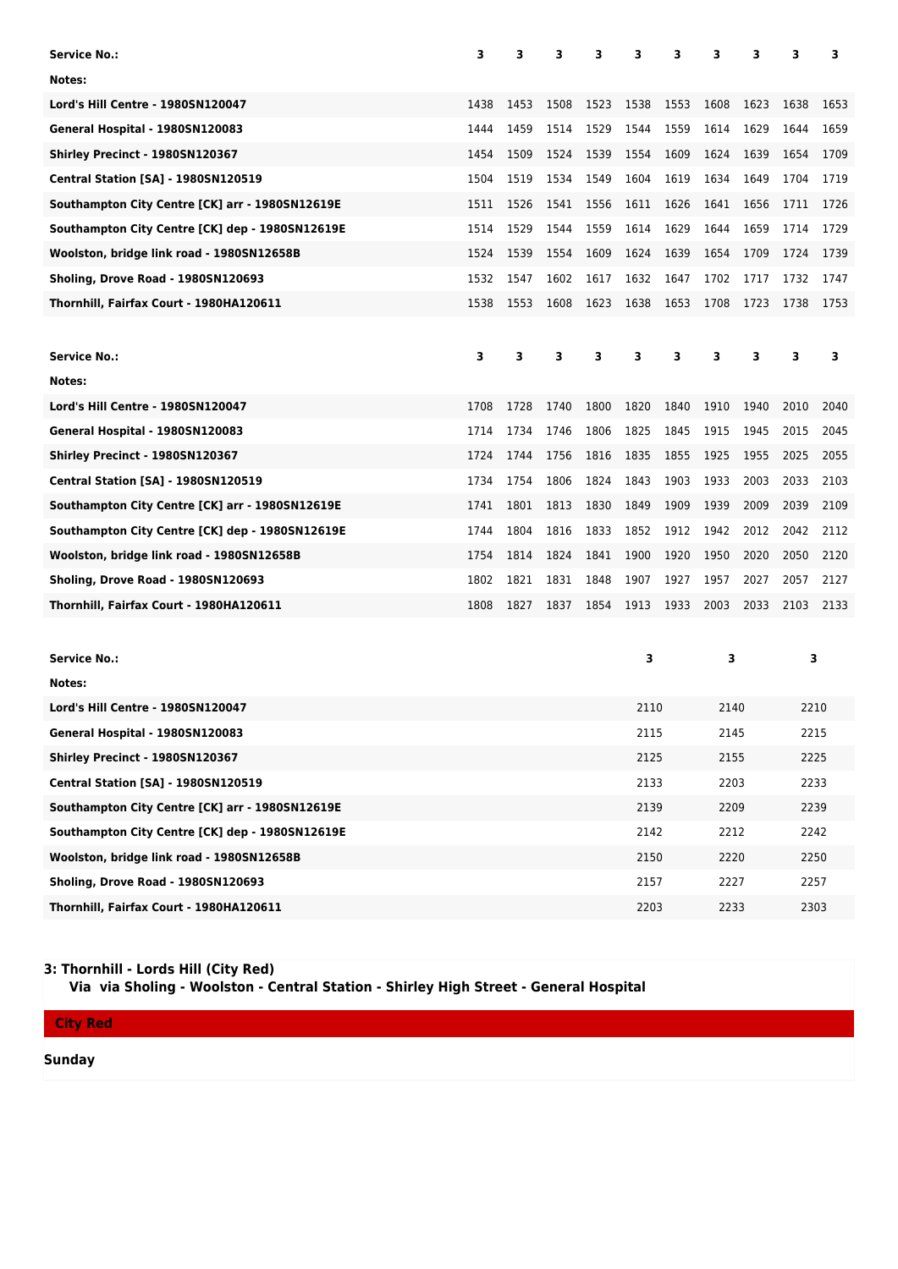| <b>Service No.:</b>                             | 3    | 3    | 3    | 3    | 3    | 3<br>3<br>3 |      |      | 3    | 3    |  |
|-------------------------------------------------|------|------|------|------|------|-------------|------|------|------|------|--|
| Notes:                                          |      |      |      |      |      |             |      |      |      |      |  |
| <b>Lord's Hill Centre - 1980SN120047</b>        | 1438 | 1453 | 1508 | 1523 | 1538 | 1553        | 1608 | 1623 | 1638 | 1653 |  |
| General Hospital - 1980SN120083                 | 1444 | 1459 | 1514 | 1529 | 1544 | 1559        | 1614 | 1629 | 1644 | 1659 |  |
| Shirley Precinct - 1980SN120367                 | 1454 | 1509 | 1524 | 1539 | 1554 | 1609        | 1624 | 1639 | 1654 | 1709 |  |
| <b>Central Station [SA] - 1980SN120519</b>      | 1504 | 1519 | 1534 | 1549 | 1604 | 1619        | 1634 | 1649 | 1704 | 1719 |  |
| Southampton City Centre [CK] arr - 1980SN12619E | 1511 | 1526 | 1541 | 1556 | 1611 | 1626        | 1641 | 1656 | 1711 | 1726 |  |
| Southampton City Centre [CK] dep - 1980SN12619E | 1514 | 1529 | 1544 | 1559 | 1614 | 1629        | 1644 | 1659 | 1714 | 1729 |  |
| Woolston, bridge link road - 1980SN12658B       | 1524 | 1539 | 1554 | 1609 | 1624 | 1639        | 1654 | 1709 | 1724 | 1739 |  |
| Sholing, Drove Road - 1980SN120693              | 1532 | 1547 | 1602 | 1617 | 1632 | 1647        | 1702 | 1717 | 1732 | 1747 |  |
| Thornhill, Fairfax Court - 1980HA120611         | 1538 | 1553 | 1608 | 1623 | 1638 | 1653        | 1708 | 1723 | 1738 | 1753 |  |
|                                                 |      |      |      |      |      |             |      |      |      |      |  |
| <b>Service No.:</b>                             | 3    | 3    | 3    | 3    | 3    | 3           | 3    | 3    | 3    | 3    |  |
| Notes:                                          |      |      |      |      |      |             |      |      |      |      |  |
| Lord's Hill Centre - 1980SN120047               | 1708 | 1728 | 1740 | 1800 | 1820 | 1840        | 1910 | 1940 | 2010 | 2040 |  |
| General Hospital - 1980SN120083                 | 1714 | 1734 | 1746 | 1806 | 1825 | 1845        | 1915 | 1945 | 2015 | 2045 |  |
| Shirley Precinct - 1980SN120367                 | 1724 | 1744 | 1756 | 1816 | 1835 | 1855        | 1925 | 1955 | 2025 | 2055 |  |
| <b>Central Station [SA] - 1980SN120519</b>      | 1734 | 1754 | 1806 | 1824 | 1843 | 1903        | 1933 | 2003 | 2033 | 2103 |  |
| Southampton City Centre [CK] arr - 1980SN12619E | 1741 | 1801 | 1813 | 1830 | 1849 | 1909        | 1939 | 2009 | 2039 | 2109 |  |
| Southampton City Centre [CK] dep - 1980SN12619E | 1744 | 1804 | 1816 | 1833 | 1852 | 1912        | 1942 | 2012 | 2042 | 2112 |  |
| Woolston, bridge link road - 1980SN12658B       | 1754 | 1814 | 1824 | 1841 | 1900 | 1920        | 1950 | 2020 | 2050 | 2120 |  |
| Sholing, Drove Road - 1980SN120693              | 1802 | 1821 | 1831 | 1848 | 1907 | 1927        | 1957 | 2027 | 2057 | 2127 |  |
| Thornhill, Fairfax Court - 1980HA120611         | 1808 | 1827 | 1837 | 1854 | 1913 | 1933        | 2003 | 2033 | 2103 | 2133 |  |
|                                                 |      |      |      |      |      |             |      |      |      |      |  |
| <b>Service No.:</b>                             |      |      |      |      | 3    |             | 3    |      | 3    |      |  |
| Notes:                                          |      |      |      |      |      |             |      |      |      |      |  |
| Lord's Hill Centre - 1980SN120047               |      |      |      |      | 2110 |             | 2140 |      | 2210 |      |  |
| General Hospital - 1980SN120083                 |      |      |      |      | 2115 |             | 2145 |      | 2215 |      |  |
| Shirley Precinct - 1980SN120367                 |      |      |      |      | 2125 |             | 2155 |      | 2225 |      |  |
| <b>Central Station [SA] - 1980SN120519</b>      |      |      |      |      |      | 2133        |      | 2203 |      | 2233 |  |

**Southampton City Centre [CK] arr - 1980SN12619E** 2209 2239 2239 2239 2239 2239 2239 **Southampton City Centre [CK] dep - 1980SN12619E** 2002 22142 22142 2212 2242 **Woolston, bridge link road - 1980SN12658B** 2250 2250 2250 2250 2250 2250 **Sholing, Drove Road - 1980SN120693** 2157 2227 2257 **Thornhill, Fairfax Court - 1980HA120611** 2203 2233 2303

### **3: Thornhill - Lords Hill (City Red)**

 **Via via Sholing - Woolston - Central Station - Shirley High Street - General Hospital**

**City Red**

**Sunday**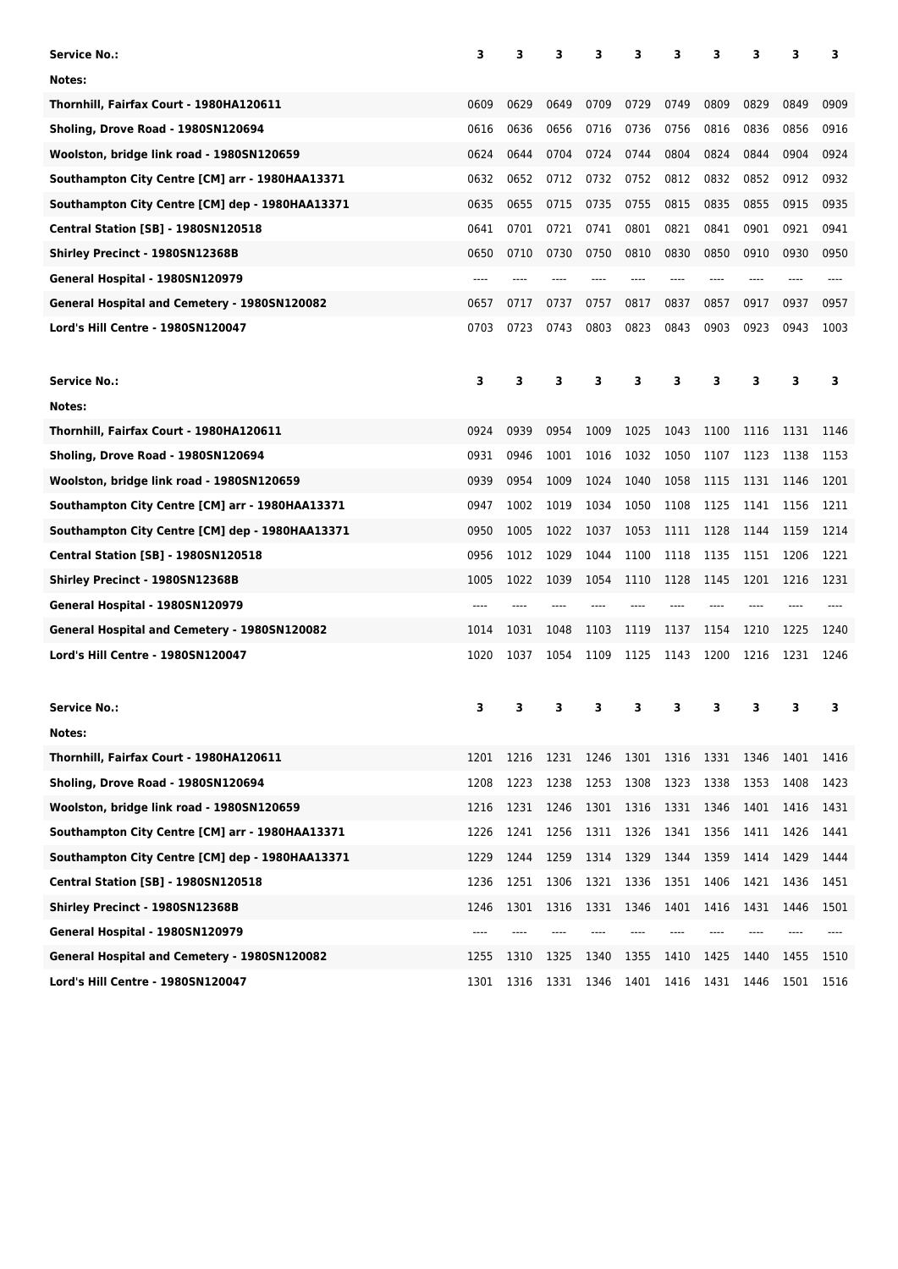| <b>Service No.:</b>                               | 3     | 3         | з    | 3    | 3    | 3    | 3    | 3    | 3    | 3    |
|---------------------------------------------------|-------|-----------|------|------|------|------|------|------|------|------|
| Notes:                                            |       |           |      |      |      |      |      |      |      |      |
| Thornhill, Fairfax Court - 1980HA120611           | 0609  | 0629      | 0649 | 0709 | 0729 | 0749 | 0809 | 0829 | 0849 | 0909 |
| Sholing, Drove Road - 1980SN120694                | 0616  | 0636      | 0656 | 0716 | 0736 | 0756 | 0816 | 0836 | 0856 | 0916 |
| Woolston, bridge link road - 1980SN120659         | 0624  | 0644      | 0704 | 0724 | 0744 | 0804 | 0824 | 0844 | 0904 | 0924 |
| Southampton City Centre [CM] arr - 1980HAA13371   | 0632  | 0652      | 0712 | 0732 | 0752 | 0812 | 0832 | 0852 | 0912 | 0932 |
| Southampton City Centre [CM] dep - 1980HAA13371   | 0635  | 0655      | 0715 | 0735 | 0755 | 0815 | 0835 | 0855 | 0915 | 0935 |
| <b>Central Station [SB] - 1980SN120518</b>        | 0641  | 0701      | 0721 | 0741 | 0801 | 0821 | 0841 | 0901 | 0921 | 0941 |
| Shirley Precinct - 1980SN12368B                   | 0650  | 0710      | 0730 | 0750 | 0810 | 0830 | 0850 | 0910 | 0930 | 0950 |
| General Hospital - 1980SN120979                   | $---$ | ----      |      | ---- |      |      |      |      |      |      |
| General Hospital and Cemetery - 1980SN120082      | 0657  | 0717      | 0737 | 0757 | 0817 | 0837 | 0857 | 0917 | 0937 | 0957 |
| Lord's Hill Centre - 1980SN120047                 | 0703  | 0723      | 0743 | 0803 | 0823 | 0843 | 0903 | 0923 | 0943 | 1003 |
| <b>Service No.:</b>                               | 3     | 3         | 3    | з    | 3    | з    | з    | 3    | 3    | з    |
| Notes:                                            |       |           |      |      |      |      |      |      |      |      |
| Thornhill, Fairfax Court - 1980HA120611           | 0924  | 0939      | 0954 | 1009 | 1025 | 1043 | 1100 | 1116 | 1131 | 1146 |
| Sholing, Drove Road - 1980SN120694                | 0931  | 0946      | 1001 | 1016 | 1032 | 1050 | 1107 | 1123 | 1138 | 1153 |
| Woolston, bridge link road - 1980SN120659         | 0939  | 0954      | 1009 | 1024 | 1040 | 1058 | 1115 | 1131 | 1146 | 1201 |
| Southampton City Centre [CM] arr - 1980HAA13371   | 0947  | 1002      | 1019 | 1034 | 1050 | 1108 | 1125 | 1141 | 1156 | 1211 |
| Southampton City Centre [CM] dep - 1980HAA13371   | 0950  | 1005      | 1022 | 1037 | 1053 | 1111 | 1128 | 1144 | 1159 | 1214 |
| <b>Central Station [SB] - 1980SN120518</b>        | 0956  | 1012      | 1029 | 1044 | 1100 | 1118 | 1135 | 1151 | 1206 | 1221 |
| Shirley Precinct - 1980SN12368B                   | 1005  | 1022      | 1039 | 1054 | 1110 | 1128 | 1145 | 1201 | 1216 | 1231 |
| General Hospital - 1980SN120979                   | ----  |           |      |      |      |      |      |      |      |      |
| General Hospital and Cemetery - 1980SN120082      | 1014  | 1031      | 1048 | 1103 | 1119 | 1137 | 1154 | 1210 | 1225 | 1240 |
| Lord's Hill Centre - 1980SN120047                 | 1020  | 1037      | 1054 | 1109 | 1125 | 1143 | 1200 | 1216 | 1231 | 1246 |
|                                                   |       |           |      |      |      |      |      |      |      |      |
| <b>Service No.:</b>                               | з     | з         | 3    | 3    | 3    | 3    | 3    | 3    | 3    | 3    |
| Notes:<br>Thornhill, Fairfax Court - 1980HA120611 | 1201  | 1216      | 1231 | 1246 | 1301 | 1316 | 1331 | 1346 | 1401 | 1416 |
| Sholing, Drove Road - 1980SN120694                | 1208  | 1223      | 1238 | 1253 | 1308 | 1323 | 1338 | 1353 | 1408 | 1423 |
| Woolston, bridge link road - 1980SN120659         | 1216  | 1231      | 1246 | 1301 | 1316 | 1331 | 1346 | 1401 | 1416 | 1431 |
| Southampton City Centre [CM] arr - 1980HAA13371   | 1226  | 1241      | 1256 | 1311 | 1326 | 1341 | 1356 | 1411 | 1426 | 1441 |
| Southampton City Centre [CM] dep - 1980HAA13371   | 1229  | 1244      | 1259 | 1314 | 1329 | 1344 | 1359 | 1414 | 1429 | 1444 |
| <b>Central Station [SB] - 1980SN120518</b>        | 1236  | 1251      | 1306 | 1321 | 1336 | 1351 | 1406 | 1421 | 1436 | 1451 |
| Shirley Precinct - 1980SN12368B                   | 1246  | 1301      | 1316 | 1331 | 1346 | 1401 | 1416 | 1431 | 1446 | 1501 |
| General Hospital - 1980SN120979                   |       |           |      |      |      |      |      |      |      |      |
| General Hospital and Cemetery - 1980SN120082      | 1255  | 1310      | 1325 | 1340 | 1355 | 1410 | 1425 | 1440 | 1455 | 1510 |
| Lord's Hill Centre - 1980SN120047                 | 1301  | 1316 1331 |      | 1346 | 1401 | 1416 | 1431 | 1446 | 1501 | 1516 |